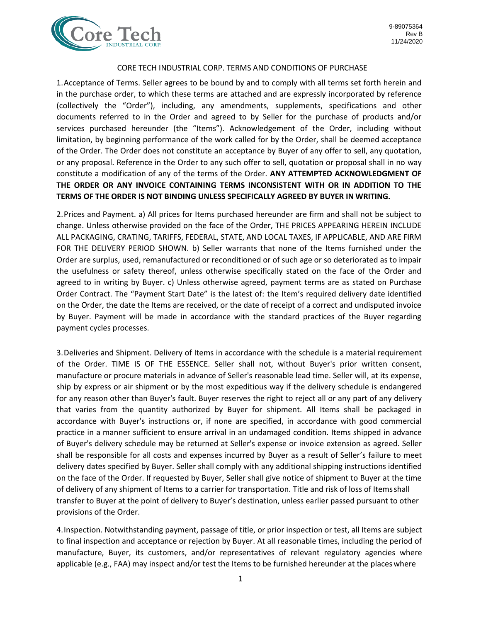

## CORE TECH INDUSTRIAL CORP. TERMS AND CONDITIONS OF PURCHASE

1.Acceptance of Terms. Seller agrees to be bound by and to comply with all terms set forth herein and in the purchase order, to which these terms are attached and are expressly incorporated by reference (collectively the "Order"), including, any amendments, supplements, specifications and other documents referred to in the Order and agreed to by Seller for the purchase of products and/or services purchased hereunder (the "Items"). Acknowledgement of the Order, including without limitation, by beginning performance of the work called for by the Order, shall be deemed acceptance of the Order. The Order does not constitute an acceptance by Buyer of any offer to sell, any quotation, or any proposal. Reference in the Order to any such offer to sell, quotation or proposal shall in no way constitute a modification of any of the terms of the Order. **ANY ATTEMPTED ACKNOWLEDGMENT OF THE ORDER OR ANY INVOICE CONTAINING TERMS INCONSISTENT WITH OR IN ADDITION TO THE TERMS OF THE ORDER IS NOT BINDING UNLESS SPECIFICALLY AGREED BY BUYER IN WRITING.**

2.Prices and Payment. a) All prices for Items purchased hereunder are firm and shall not be subject to change. Unless otherwise provided on the face of the Order, THE PRICES APPEARING HEREIN INCLUDE ALL PACKAGING, CRATING, TARIFFS, FEDERAL, STATE, AND LOCAL TAXES, IF APPLICABLE, AND ARE FIRM FOR THE DELIVERY PERIOD SHOWN. b) Seller warrants that none of the Items furnished under the Order are surplus, used, remanufactured or reconditioned or of such age or so deteriorated as to impair the usefulness or safety thereof, unless otherwise specifically stated on the face of the Order and agreed to in writing by Buyer. c) Unless otherwise agreed, payment terms are as stated on Purchase Order Contract. The "Payment Start Date" is the latest of: the Item's required delivery date identified on the Order, the date the Items are received, or the date of receipt of a correct and undisputed invoice by Buyer. Payment will be made in accordance with the standard practices of the Buyer regarding payment cycles processes.

3.Deliveries and Shipment. Delivery of Items in accordance with the schedule is a material requirement of the Order. TIME IS OF THE ESSENCE. Seller shall not, without Buyer's prior written consent, manufacture or procure materials in advance of Seller's reasonable lead time. Seller will, at its expense, ship by express or air shipment or by the most expeditious way if the delivery schedule is endangered for any reason other than Buyer's fault. Buyer reserves the right to reject all or any part of any delivery that varies from the quantity authorized by Buyer for shipment. All Items shall be packaged in accordance with Buyer's instructions or, if none are specified, in accordance with good commercial practice in a manner sufficient to ensure arrival in an undamaged condition. Items shipped in advance of Buyer's delivery schedule may be returned at Seller's expense or invoice extension as agreed. Seller shall be responsible for all costs and expenses incurred by Buyer as a result of Seller's failure to meet delivery dates specified by Buyer. Seller shall comply with any additional shipping instructions identified on the face of the Order. If requested by Buyer, Seller shall give notice of shipment to Buyer at the time of delivery of any shipment of Items to a carrier for transportation. Title and risk of loss of Itemsshall transfer to Buyer at the point of delivery to Buyer's destination, unless earlier passed pursuant to other provisions of the Order.

4.Inspection. Notwithstanding payment, passage of title, or prior inspection or test, all Items are subject to final inspection and acceptance or rejection by Buyer. At all reasonable times, including the period of manufacture, Buyer, its customers, and/or representatives of relevant regulatory agencies where applicable (e.g., FAA) may inspect and/or test the Items to be furnished hereunder at the placeswhere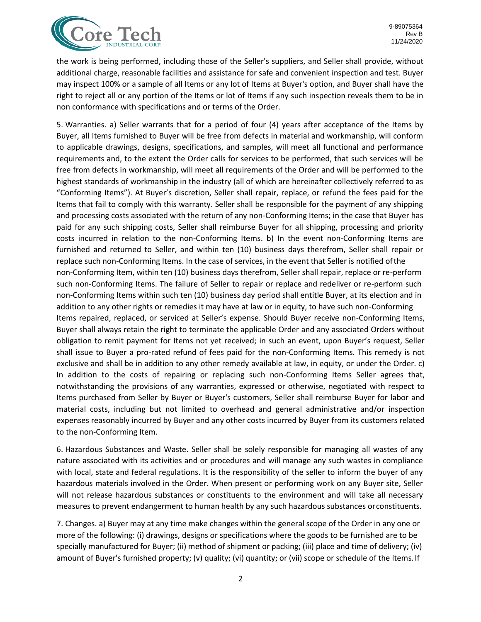

the work is being performed, including those of the Seller's suppliers, and Seller shall provide, without additional charge, reasonable facilities and assistance for safe and convenient inspection and test. Buyer may inspect 100% or a sample of all Items or any lot of Items at Buyer's option, and Buyer shall have the right to reject all or any portion of the Items or lot of Items if any such inspection reveals them to be in non conformance with specifications and or terms of the Order.

5. Warranties. a) Seller warrants that for a period of four (4) years after acceptance of the Items by Buyer, all Items furnished to Buyer will be free from defects in material and workmanship, will conform to applicable drawings, designs, specifications, and samples, will meet all functional and performance requirements and, to the extent the Order calls for services to be performed, that such services will be free from defects in workmanship, will meet all requirements of the Order and will be performed to the highest standards of workmanship in the industry (all of which are hereinafter collectively referred to as "Conforming Items"). At Buyer's discretion, Seller shall repair, replace, or refund the fees paid for the Items that fail to comply with this warranty. Seller shall be responsible for the payment of any shipping and processing costs associated with the return of any non-Conforming Items; in the case that Buyer has paid for any such shipping costs, Seller shall reimburse Buyer for all shipping, processing and priority costs incurred in relation to the non-Conforming Items. b) In the event non-Conforming Items are furnished and returned to Seller, and within ten (10) business days therefrom, Seller shall repair or replace such non-Conforming Items. In the case of services, in the event that Seller is notified ofthe non-Conforming Item, within ten (10) business days therefrom, Seller shall repair, replace or re-perform such non-Conforming Items. The failure of Seller to repair or replace and redeliver or re-perform such non-Conforming Items within such ten (10) business day period shall entitle Buyer, at its election and in addition to any other rights or remedies it may have at law or in equity, to have such non-Conforming Items repaired, replaced, or serviced at Seller's expense. Should Buyer receive non-Conforming Items, Buyer shall always retain the right to terminate the applicable Order and any associated Orders without obligation to remit payment for Items not yet received; in such an event, upon Buyer's request, Seller shall issue to Buyer a pro-rated refund of fees paid for the non-Conforming Items. This remedy is not exclusive and shall be in addition to any other remedy available at law, in equity, or under the Order. c) In addition to the costs of repairing or replacing such non-Conforming Items Seller agrees that, notwithstanding the provisions of any warranties, expressed or otherwise, negotiated with respect to Items purchased from Seller by Buyer or Buyer's customers, Seller shall reimburse Buyer for labor and material costs, including but not limited to overhead and general administrative and/or inspection expenses reasonably incurred by Buyer and any other costs incurred by Buyer from its customers related to the non-Conforming Item.

6. Hazardous Substances and Waste. Seller shall be solely responsible for managing all wastes of any nature associated with its activities and or procedures and will manage any such wastes in compliance with local, state and federal regulations. It is the responsibility of the seller to inform the buyer of any hazardous materials involved in the Order. When present or performing work on any Buyer site, Seller will not release hazardous substances or constituents to the environment and will take all necessary measures to prevent endangerment to human health by any such hazardous substances orconstituents.

7. Changes. a) Buyer may at any time make changes within the general scope of the Order in any one or more of the following: (i) drawings, designs or specifications where the goods to be furnished are to be specially manufactured for Buyer; (ii) method of shipment or packing; (iii) place and time of delivery; (iv) amount of Buyer's furnished property; (v) quality; (vi) quantity; or (vii) scope or schedule of the Items. If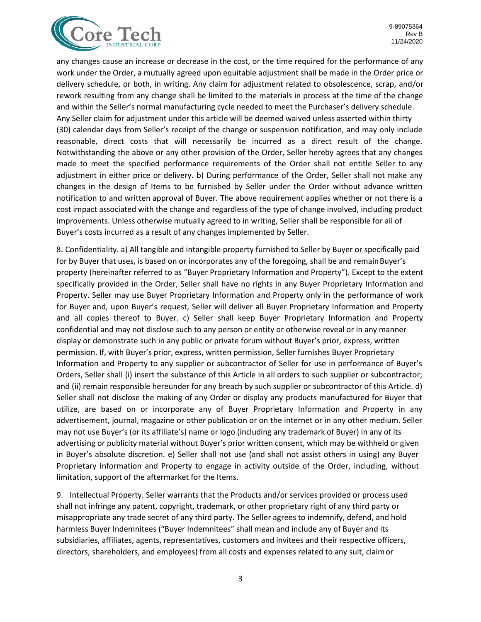

any changes cause an increase or decrease in the cost, or the time required for the performance of any work under the Order, a mutually agreed upon equitable adjustment shall be made in the Order price or delivery schedule, or both, in writing. Any claim for adjustment related to obsolescence, scrap, and/or rework resulting from any change shall be limited to the materials in process at the time of the change and within the Seller's normal manufacturing cycle needed to meet the Purchaser's delivery schedule. Any Seller claim for adjustment under this article will be deemed waived unless asserted within thirty (30) calendar days from Seller's receipt of the change or suspension notification, and may only include reasonable, direct costs that will necessarily be incurred as a direct result of the change. Notwithstanding the above or any other provision of the Order, Seller hereby agrees that any changes made to meet the specified performance requirements of the Order shall not entitle Seller to any adjustment in either price or delivery. b) During performance of the Order, Seller shall not make any changes in the design of Items to be furnished by Seller under the Order without advance written notification to and written approval of Buyer. The above requirement applies whether or not there is a cost impact associated with the change and regardless of the type of change involved, including product improvements. Unless otherwise mutually agreed to in writing, Seller shall be responsible for all of Buyer's costs incurred as a result of any changes implemented by Seller.

8. Confidentiality. a) All tangible and intangible property furnished to Seller by Buyer or specifically paid for by Buyer that uses, is based on or incorporates any of the foregoing, shall be and remain Buyer's property (hereinafter referred to as "Buyer Proprietary Information and Property"). Except to the extent specifically provided in the Order, Seller shall have no rights in any Buyer Proprietary Information and Property. Seller may use Buyer Proprietary Information and Property only in the performance of work for Buyer and, upon Buyer's request, Seller will deliver all Buyer Proprietary Information and Property and all copies thereof to Buyer. c) Seller shall keep Buyer Proprietary Information and Property confidential and may not disclose such to any person or entity or otherwise reveal or in any manner display or demonstrate such in any public or private forum without Buyer's prior, express, written permission. If, with Buyer's prior, express, written permission, Seller furnishes Buyer Proprietary Information and Property to any supplier or subcontractor of Seller for use in performance of Buyer's Orders, Seller shall (i) insert the substance of this Article in all orders to such supplier or subcontractor; and (ii) remain responsible hereunder for any breach by such supplier or subcontractor of this Article. d) Seller shall not disclose the making of any Order or display any products manufactured for Buyer that utilize, are based on or incorporate any of Buyer Proprietary Information and Property in any advertisement, journal, magazine or other publication or on the internet or in any other medium. Seller may not use Buyer's (or its affiliate's) name or logo (including any trademark of Buyer) in any of its advertising or publicity material without Buyer's prior written consent, which may be withheld or given in Buyer's absolute discretion. e) Seller shall not use (and shall not assist others in using) any Buyer Proprietary Information and Property to engage in activity outside of the Order, including, without limitation, support of the aftermarket for the Items.

9. Intellectual Property. Seller warrants that the Products and/or services provided or process used shall not infringe any patent, copyright, trademark, or other proprietary right of any third party or misappropriate any trade secret of any third party. The Seller agrees to indemnify, defend, and hold harmless Buyer Indemnitees ("Buyer Indemnitees" shall mean and include any of Buyer and its subsidiaries, affiliates, agents, representatives, customers and invitees and their respective officers, directors, shareholders, and employees) from all costs and expenses related to any suit, claimor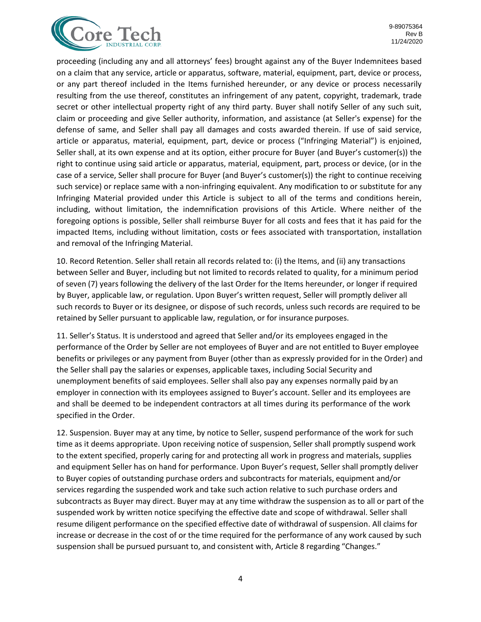

proceeding (including any and all attorneys' fees) brought against any of the Buyer Indemnitees based on a claim that any service, article or apparatus, software, material, equipment, part, device or process, or any part thereof included in the Items furnished hereunder, or any device or process necessarily resulting from the use thereof, constitutes an infringement of any patent, copyright, trademark, trade secret or other intellectual property right of any third party. Buyer shall notify Seller of any such suit, claim or proceeding and give Seller authority, information, and assistance (at Seller's expense) for the defense of same, and Seller shall pay all damages and costs awarded therein. If use of said service, article or apparatus, material, equipment, part, device or process ("Infringing Material") is enjoined, Seller shall, at its own expense and at its option, either procure for Buyer (and Buyer's customer(s)) the right to continue using said article or apparatus, material, equipment, part, process or device, (or in the case of a service, Seller shall procure for Buyer (and Buyer's customer(s)) the right to continue receiving such service) or replace same with a non-infringing equivalent. Any modification to or substitute for any Infringing Material provided under this Article is subject to all of the terms and conditions herein, including, without limitation, the indemnification provisions of this Article. Where neither of the foregoing options is possible, Seller shall reimburse Buyer for all costs and fees that it has paid for the impacted Items, including without limitation, costs or fees associated with transportation, installation and removal of the Infringing Material.

10. Record Retention. Seller shall retain all records related to: (i) the Items, and (ii) any transactions between Seller and Buyer, including but not limited to records related to quality, for a minimum period of seven (7) years following the delivery of the last Order for the Items hereunder, or longer if required by Buyer, applicable law, or regulation. Upon Buyer's written request, Seller will promptly deliver all such records to Buyer or its designee, or dispose of such records, unless such records are required to be retained by Seller pursuant to applicable law, regulation, or for insurance purposes.

11. Seller's Status. It is understood and agreed that Seller and/or its employees engaged in the performance of the Order by Seller are not employees of Buyer and are not entitled to Buyer employee benefits or privileges or any payment from Buyer (other than as expressly provided for in the Order) and the Seller shall pay the salaries or expenses, applicable taxes, including Social Security and unemployment benefits of said employees. Seller shall also pay any expenses normally paid by an employer in connection with its employees assigned to Buyer's account. Seller and its employees are and shall be deemed to be independent contractors at all times during its performance of the work specified in the Order.

12. Suspension. Buyer may at any time, by notice to Seller, suspend performance of the work for such time as it deems appropriate. Upon receiving notice of suspension, Seller shall promptly suspend work to the extent specified, properly caring for and protecting all work in progress and materials, supplies and equipment Seller has on hand for performance. Upon Buyer's request, Seller shall promptly deliver to Buyer copies of outstanding purchase orders and subcontracts for materials, equipment and/or services regarding the suspended work and take such action relative to such purchase orders and subcontracts as Buyer may direct. Buyer may at any time withdraw the suspension as to all or part of the suspended work by written notice specifying the effective date and scope of withdrawal. Seller shall resume diligent performance on the specified effective date of withdrawal of suspension. All claims for increase or decrease in the cost of or the time required for the performance of any work caused by such suspension shall be pursued pursuant to, and consistent with, Article 8 regarding "Changes."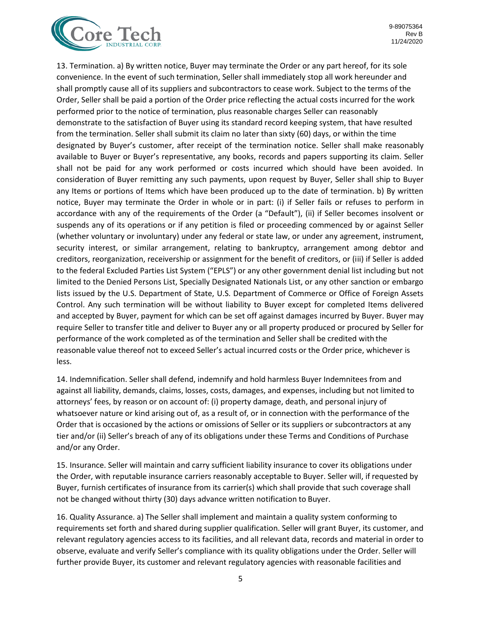

13. Termination. a) By written notice, Buyer may terminate the Order or any part hereof, for its sole convenience. In the event of such termination, Seller shall immediately stop all work hereunder and shall promptly cause all of its suppliers and subcontractors to cease work. Subject to the terms of the Order, Seller shall be paid a portion of the Order price reflecting the actual costs incurred for the work performed prior to the notice of termination, plus reasonable charges Seller can reasonably demonstrate to the satisfaction of Buyer using its standard record keeping system, that have resulted from the termination. Seller shall submit its claim no later than sixty (60) days, or within the time designated by Buyer's customer, after receipt of the termination notice. Seller shall make reasonably available to Buyer or Buyer's representative, any books, records and papers supporting its claim. Seller shall not be paid for any work performed or costs incurred which should have been avoided. In consideration of Buyer remitting any such payments, upon request by Buyer, Seller shall ship to Buyer any Items or portions of Items which have been produced up to the date of termination. b) By written notice, Buyer may terminate the Order in whole or in part: (i) if Seller fails or refuses to perform in accordance with any of the requirements of the Order (a "Default"), (ii) if Seller becomes insolvent or suspends any of its operations or if any petition is filed or proceeding commenced by or against Seller (whether voluntary or involuntary) under any federal or state law, or under any agreement, instrument, security interest, or similar arrangement, relating to bankruptcy, arrangement among debtor and creditors, reorganization, receivership or assignment for the benefit of creditors, or (iii) if Seller is added to the federal Excluded Parties List System ("EPLS") or any other government denial list including but not limited to the Denied Persons List, Specially Designated Nationals List, or any other sanction or embargo lists issued by the U.S. Department of State, U.S. Department of Commerce or Office of Foreign Assets Control. Any such termination will be without liability to Buyer except for completed Items delivered and accepted by Buyer, payment for which can be set off against damages incurred by Buyer. Buyer may require Seller to transfer title and deliver to Buyer any or all property produced or procured by Seller for performance of the work completed as of the termination and Seller shall be credited with the reasonable value thereof not to exceed Seller's actual incurred costs or the Order price, whichever is less.

14. Indemnification. Seller shall defend, indemnify and hold harmless Buyer Indemnitees from and against all liability, demands, claims, losses, costs, damages, and expenses, including but not limited to attorneys' fees, by reason or on account of: (i) property damage, death, and personal injury of whatsoever nature or kind arising out of, as a result of, or in connection with the performance of the Order that is occasioned by the actions or omissions of Seller or its suppliers or subcontractors at any tier and/or (ii) Seller's breach of any of its obligations under these Terms and Conditions of Purchase and/or any Order.

15. Insurance. Seller will maintain and carry sufficient liability insurance to cover its obligations under the Order, with reputable insurance carriers reasonably acceptable to Buyer. Seller will, if requested by Buyer, furnish certificates of insurance from its carrier(s) which shall provide that such coverage shall not be changed without thirty (30) days advance written notification to Buyer.

16. Quality Assurance. a) The Seller shall implement and maintain a quality system conforming to requirements set forth and shared during supplier qualification. Seller will grant Buyer, its customer, and relevant regulatory agencies access to its facilities, and all relevant data, records and material in order to observe, evaluate and verify Seller's compliance with its quality obligations under the Order. Seller will further provide Buyer, its customer and relevant regulatory agencies with reasonable facilities and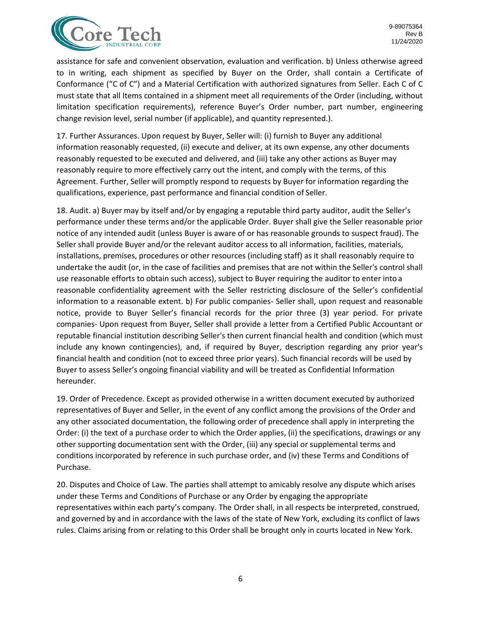

assistance for safe and convenient observation, evaluation and verification. b) Unless otherwise agreed to in writing, each shipment as specified by Buyer on the Order, shall contain a Certificate of Conformance ("C of C") and a Material Certification with authorized signatures from Seller. Each C of C must state that all Items contained in a shipment meet all requirements of the Order (including, without limitation specification requirements), reference Buyer's Order number, part number, engineering change revision level, serial number (if applicable), and quantity represented.).

17. Further Assurances. Upon request by Buyer, Seller will: (i) furnish to Buyer any additional information reasonably requested, (ii) execute and deliver, at its own expense, any other documents reasonably requested to be executed and delivered, and (iii) take any other actions as Buyer may reasonably require to more effectively carry out the intent, and comply with the terms, of this Agreement. Further, Seller will promptly respond to requests by Buyer for information regarding the qualifications, experience, past performance and financial condition of Seller.

18. Audit. a) Buyer may by itself and/or by engaging a reputable third party auditor, audit the Seller's performance under these terms and/or the applicable Order. Buyer shall give the Seller reasonable prior notice of any intended audit (unless Buyer is aware of or has reasonable grounds to suspect fraud). The Seller shall provide Buyer and/or the relevant auditor access to all information, facilities, materials, installations, premises, procedures or other resources (including staff) as it shall reasonably require to undertake the audit (or, in the case of facilities and premises that are not within the Seller's control shall use reasonable efforts to obtain such access), subject to Buyer requiring the auditor to enter into a reasonable confidentiality agreement with the Seller restricting disclosure of the Seller's confidential information to a reasonable extent. b) For public companies- Seller shall, upon request and reasonable notice, provide to Buyer Seller's financial records for the prior three (3) year period. For private companies- Upon request from Buyer, Seller shall provide a letter from a Certified Public Accountant or reputable financial institution describing Seller's then current financial health and condition (which must include any known contingencies), and, if required by Buyer, description regarding any prior year's financial health and condition (not to exceed three prior years). Such financial records will be used by Buyer to assess Seller's ongoing financial viability and will be treated as Confidential Information hereunder.

19. Order of Precedence. Except as provided otherwise in a written document executed by authorized representatives of Buyer and Seller, in the event of any conflict among the provisions of the Order and any other associated documentation, the following order of precedence shall apply in interpreting the Order: (i) the text of a purchase order to which the Order applies, (ii) the specifications, drawings or any other supporting documentation sent with the Order, (iii) any special or supplemental terms and conditions incorporated by reference in such purchase order, and (iv) these Terms and Conditions of Purchase.

20. Disputes and Choice of Law. The parties shall attempt to amicably resolve any dispute which arises under these Terms and Conditions of Purchase or any Order by engaging the appropriate representatives within each party's company. The Order shall, in all respects be interpreted, construed, and governed by and in accordance with the laws of the state of New York, excluding its conflict of laws rules. Claims arising from or relating to this Order shall be brought only in courts located in New York.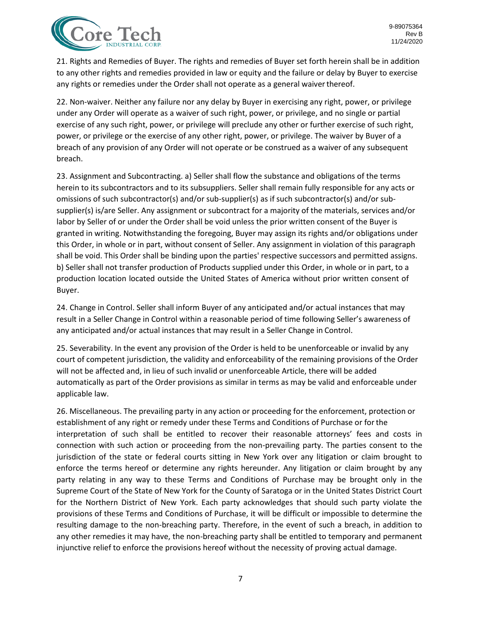

21. Rights and Remedies of Buyer. The rights and remedies of Buyer set forth herein shall be in addition to any other rights and remedies provided in law or equity and the failure or delay by Buyer to exercise any rights or remedies under the Order shall not operate as a general waiver thereof.

22. Non-waiver. Neither any failure nor any delay by Buyer in exercising any right, power, or privilege under any Order will operate as a waiver of such right, power, or privilege, and no single or partial exercise of any such right, power, or privilege will preclude any other or further exercise of such right, power, or privilege or the exercise of any other right, power, or privilege. The waiver by Buyer of a breach of any provision of any Order will not operate or be construed as a waiver of any subsequent breach.

23. Assignment and Subcontracting. a) Seller shall flow the substance and obligations of the terms herein to its subcontractors and to its subsuppliers. Seller shall remain fully responsible for any acts or omissions of such subcontractor(s) and/or sub-supplier(s) as if such subcontractor(s) and/or subsupplier(s) is/are Seller. Any assignment or subcontract for a majority of the materials, services and/or labor by Seller of or under the Order shall be void unless the prior written consent of the Buyer is granted in writing. Notwithstanding the foregoing, Buyer may assign its rights and/or obligations under this Order, in whole or in part, without consent of Seller. Any assignment in violation of this paragraph shall be void. This Order shall be binding upon the parties' respective successors and permitted assigns. b) Seller shall not transfer production of Products supplied under this Order, in whole or in part, to a production location located outside the United States of America without prior written consent of Buyer.

24. Change in Control. Seller shall inform Buyer of any anticipated and/or actual instances that may result in a Seller Change in Control within a reasonable period of time following Seller's awareness of any anticipated and/or actual instances that may result in a Seller Change in Control.

25. Severability. In the event any provision of the Order is held to be unenforceable or invalid by any court of competent jurisdiction, the validity and enforceability of the remaining provisions of the Order will not be affected and, in lieu of such invalid or unenforceable Article, there will be added automatically as part of the Order provisions as similar in terms as may be valid and enforceable under applicable law.

26. Miscellaneous. The prevailing party in any action or proceeding for the enforcement, protection or establishment of any right or remedy under these Terms and Conditions of Purchase or forthe interpretation of such shall be entitled to recover their reasonable attorneys' fees and costs in connection with such action or proceeding from the non-prevailing party. The parties consent to the jurisdiction of the state or federal courts sitting in New York over any litigation or claim brought to enforce the terms hereof or determine any rights hereunder. Any litigation or claim brought by any party relating in any way to these Terms and Conditions of Purchase may be brought only in the Supreme Court of the State of New York for the County of Saratoga or in the United States District Court for the Northern District of New York. Each party acknowledges that should such party violate the provisions of these Terms and Conditions of Purchase, it will be difficult or impossible to determine the resulting damage to the non-breaching party. Therefore, in the event of such a breach, in addition to any other remedies it may have, the non-breaching party shall be entitled to temporary and permanent injunctive relief to enforce the provisions hereof without the necessity of proving actual damage.